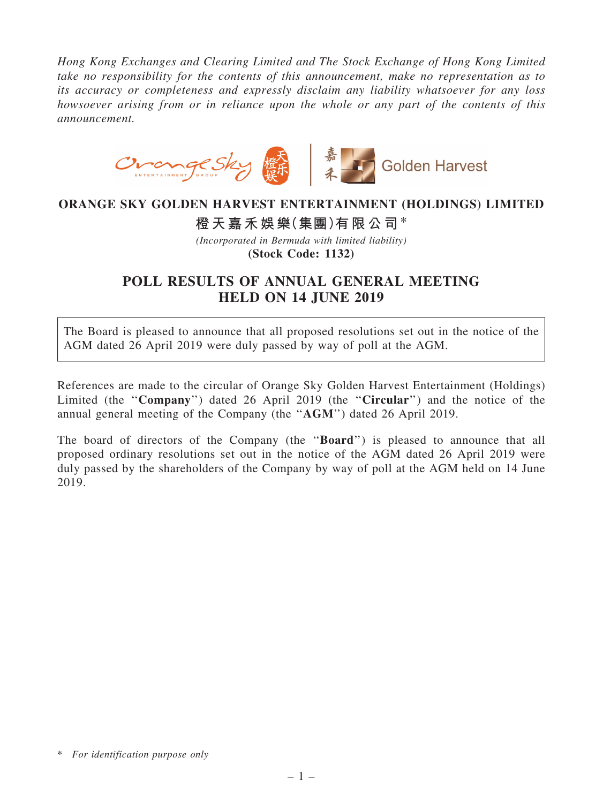*Hong Kong Exchanges and Clearing Limited and The Stock Exchange of Hong Kong Limited take no responsibility for the contents of this announcement, make no representation as to its accuracy or completeness and expressly disclaim any liability whatsoever for any loss howsoever arising from or in reliance upon the whole or any part of the contents of this announcement.*



## ORANGE SKY GOLDEN HARVEST ENTERTAINMENT (HOLDINGS) LIMITED

橙天嘉禾娛樂(集團)有限公司\*

*(Incorporated in Bermuda with limited liability)* (Stock Code: 1132)

## POLL RESULTS OF ANNUAL GENERAL MEETING HELD ON 14 JUNE 2019

The Board is pleased to announce that all proposed resolutions set out in the notice of the AGM dated 26 April 2019 were duly passed by way of poll at the AGM.

References are made to the circular of Orange Sky Golden Harvest Entertainment (Holdings) Limited (the "Company") dated 26 April 2019 (the "Circular") and the notice of the annual general meeting of the Company (the ''AGM'') dated 26 April 2019.

The board of directors of the Company (the "**Board**") is pleased to announce that all proposed ordinary resolutions set out in the notice of the AGM dated 26 April 2019 were duly passed by the shareholders of the Company by way of poll at the AGM held on 14 June 2019.

<sup>\*</sup> *For identification purpose only*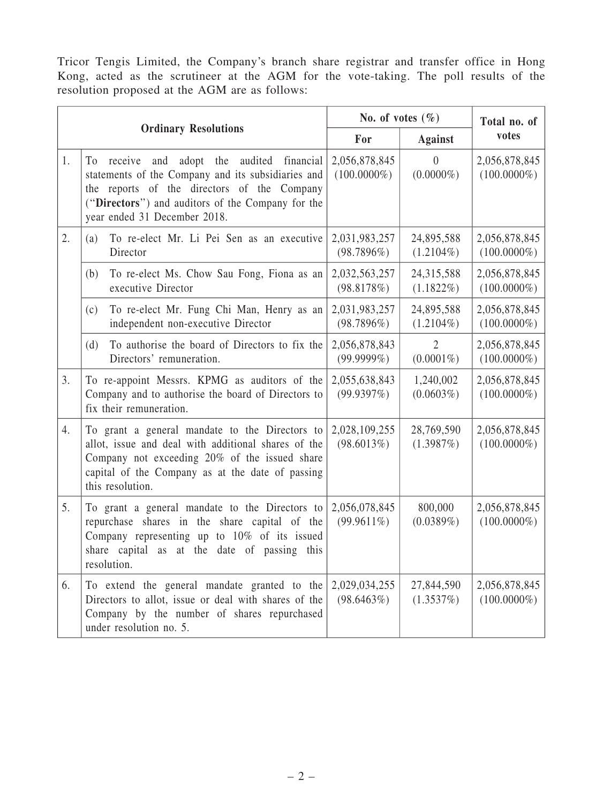Tricor Tengis Limited, the Company's branch share registrar and transfer office in Hong Kong, acted as the scrutineer at the AGM for the vote-taking. The poll results of the resolution proposed at the AGM are as follows:

| <b>Ordinary Resolutions</b> |                                                                                                                                                                                                                                               | No. of votes $(\% )$            |                            | Total no. of                    |
|-----------------------------|-----------------------------------------------------------------------------------------------------------------------------------------------------------------------------------------------------------------------------------------------|---------------------------------|----------------------------|---------------------------------|
|                             |                                                                                                                                                                                                                                               | For                             | <b>Against</b>             | votes                           |
| 1.                          | To receive<br>adopt the<br>audited financial<br>and<br>statements of the Company and its subsidiaries and<br>the reports of the directors of the Company<br>("Directors") and auditors of the Company for the<br>year ended 31 December 2018. | 2,056,878,845<br>$(100.0000\%)$ | $\theta$<br>$(0.0000\%)$   | 2,056,878,845<br>$(100.0000\%)$ |
| 2.                          | To re-elect Mr. Li Pei Sen as an executive<br>(a)<br>Director                                                                                                                                                                                 | 2,031,983,257<br>(98.7896%)     | 24,895,588<br>$(1.2104\%)$ | 2,056,878,845<br>$(100.0000\%)$ |
|                             | To re-elect Ms. Chow Sau Fong, Fiona as an<br>(b)<br>executive Director                                                                                                                                                                       | 2,032,563,257<br>(98.8178%)     | 24,315,588<br>$(1.1822\%)$ | 2,056,878,845<br>$(100.0000\%)$ |
|                             | To re-elect Mr. Fung Chi Man, Henry as an<br>(c)<br>independent non-executive Director                                                                                                                                                        | 2,031,983,257<br>(98.7896%)     | 24,895,588<br>$(1.2104\%)$ | 2,056,878,845<br>$(100.0000\%)$ |
|                             | To authorise the board of Directors to fix the<br>(d)<br>Directors' remuneration.                                                                                                                                                             | 2,056,878,843<br>$(99.9999\%)$  | $(0.0001\%)$               | 2,056,878,845<br>$(100.0000\%)$ |
| 3.                          | To re-appoint Messrs. KPMG as auditors of the<br>Company and to authorise the board of Directors to<br>fix their remuneration.                                                                                                                | 2,055,638,843<br>(99.9397%)     | 1,240,002<br>$(0.0603\%)$  | 2,056,878,845<br>$(100.0000\%)$ |
| 4.                          | To grant a general mandate to the Directors to<br>allot, issue and deal with additional shares of the<br>Company not exceeding 20% of the issued share<br>capital of the Company as at the date of passing<br>this resolution.                | 2,028,109,255<br>(98.6013%)     | 28,769,590<br>(1.3987%)    | 2,056,878,845<br>$(100.0000\%)$ |
| 5.                          | To grant a general mandate to the Directors to<br>repurchase shares in the share capital of the<br>Company representing up to $10\%$ of its issued<br>share capital as at the date of passing this<br>resolution.                             | 2,056,078,845<br>$(99.9611\%)$  | 800,000<br>$(0.0389\%)$    | 2,056,878,845<br>$(100.0000\%)$ |
| 6.                          | To extend the general mandate granted to the<br>Directors to allot, issue or deal with shares of the<br>Company by the number of shares repurchased<br>under resolution no. 5.                                                                | 2,029,034,255<br>(98.6463%)     | 27,844,590<br>(1.3537%)    | 2,056,878,845<br>$(100.0000\%)$ |